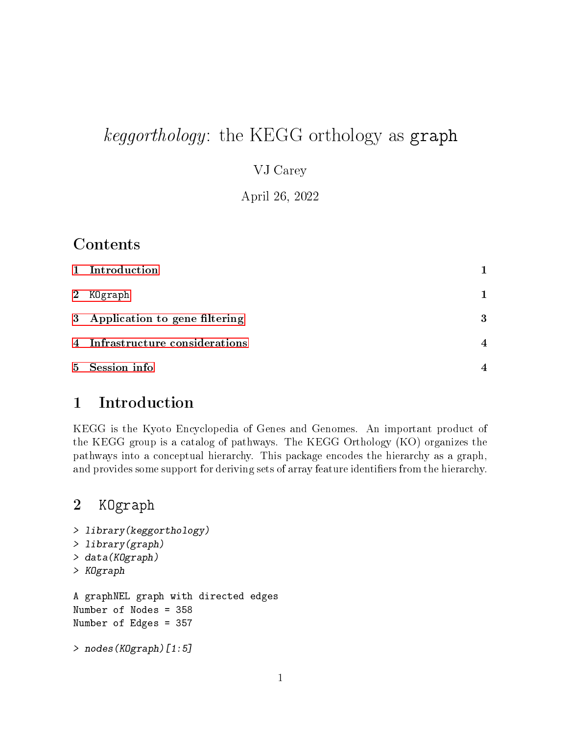# keggorthology: the KEGG orthology as graph

VJ Carey

April 26, 2022

### Contents

| 1 Introduction                  |                |
|---------------------------------|----------------|
| 2 KOgraph                       | 1              |
| 3 Application to gene filtering | 3              |
| 4 Infrastructure considerations | $\overline{4}$ |
| 5 Session info                  | $\overline{4}$ |

# <span id="page-0-0"></span>1 Introduction

KEGG is the Kyoto Encyclopedia of Genes and Genomes. An important product of the KEGG group is a catalog of pathways. The KEGG Orthology (KO) organizes the pathways into a conceptual hierarchy. This package encodes the hierarchy as a graph, and provides some support for deriving sets of array feature identifiers from the hierarchy.

#### <span id="page-0-1"></span>2 KOgraph

```
> library(keggorthology)
> library(graph)
> data(KOgraph)
> KOgraph
A graphNEL graph with directed edges
Number of Nodes = 358
Number of Edges = 357
> nodes(KOgraph)[1:5]
```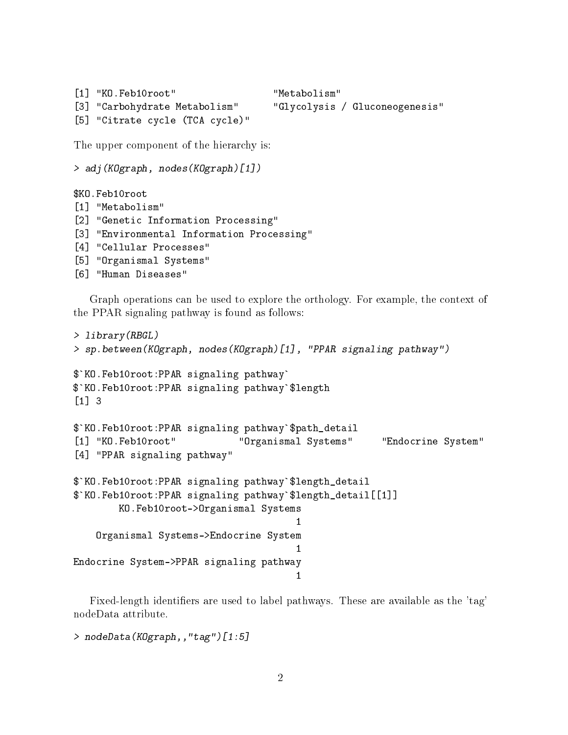```
[1] "KO.Feb10root" "Metabolism"
[3] "Carbohydrate Metabolism" "Glycolysis / Gluconeogenesis"
[5] "Citrate cycle (TCA cycle)"
```
The upper component of the hierarchy is:

```
> adj(KOgraph, nodes(KOgraph)[1])
```

```
$KO.Feb10root
[1] "Metabolism"
[2] "Genetic Information Processing"
[3] "Environmental Information Processing"
[4] "Cellular Processes"
[5] "Organismal Systems"
[6] "Human Diseases"
```
Graph operations can be used to explore the orthology. For example, the context of the PPAR signaling pathway is found as follows:

```
> library(RBGL)
> sp.between(KOgraph, nodes(KOgraph)[1], "PPAR signaling pathway")
$`KO.Feb10root:PPAR signaling pathway`
$`KO.Feb10root:PPAR signaling pathway`$length
[1] 3
$`KO.Feb10root:PPAR signaling pathway`$path_detail
[1] "KO.Feb10root" "Organismal Systems" "Endocrine System"
[4] "PPAR signaling pathway"
$`KO.Feb10root:PPAR signaling pathway`$length_detail
$`KO.Feb10root:PPAR signaling pathway`$length_detail[[1]]
       KO.Feb10root->Organismal Systems
                                       1
    Organismal Systems->Endocrine System
                                       1
Endocrine System->PPAR signaling pathway
                                       1
```
Fixed-length identifiers are used to label pathways. These are available as the 'tag' nodeData attribute.

```
> nodeData(KOgraph,,"tag")[1:5]
```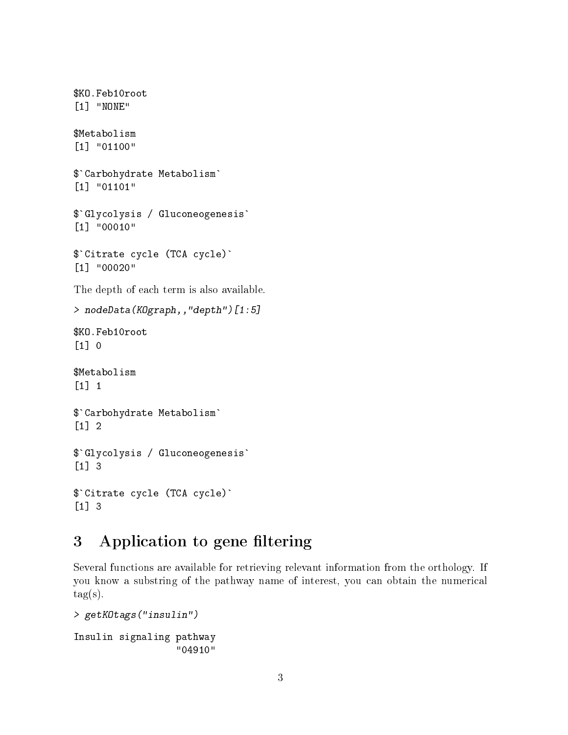\$KO.Feb10root [1] "NONE" \$Metabolism [1] "01100" \$`Carbohydrate Metabolism` [1] "01101" \$`Glycolysis / Gluconeogenesis` [1] "00010" \$`Citrate cycle (TCA cycle)` [1] "00020" The depth of each term is also available. > nodeData(KOgraph,,"depth")[1:5] \$KO.Feb10root  $\lceil 1 \rceil$  0 \$Metabolism [1] 1 \$`Carbohydrate Metabolism` [1] 2 \$`Glycolysis / Gluconeogenesis` [1] 3 \$`Citrate cycle (TCA cycle)` [1] 3

# <span id="page-2-0"></span>3 Application to gene filtering

Several functions are available for retrieving relevant information from the orthology. If you know a substring of the pathway name of interest, you can obtain the numerical  $tag(s)$ .

```
> getKOtags("insulin")
Insulin signaling pathway
                  "04910"
```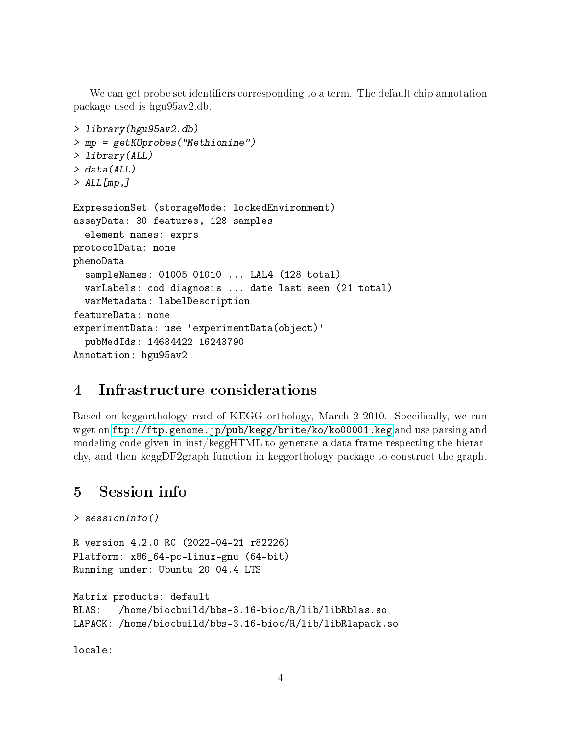We can get probe set identifiers corresponding to a term. The default chip annotation package used is hgu95av2.db.

```
> library(hgu95av2.db)
> mp = getKOprobes("Methionine")
> library(ALL)
> data(ALL)
> ALL[mp,]
ExpressionSet (storageMode: lockedEnvironment)
assayData: 30 features, 128 samples
  element names: exprs
protocolData: none
phenoData
  sampleNames: 01005 01010 ... LAL4 (128 total)
  varLabels: cod diagnosis ... date last seen (21 total)
  varMetadata: labelDescription
featureData: none
experimentData: use 'experimentData(object)'
  pubMedIds: 14684422 16243790
Annotation: hgu95av2
```
# <span id="page-3-0"></span>4 Infrastructure considerations

Based on keggorthology read of KEGG orthology, March 2 2010. Specifically, we run wget on <ftp://ftp.genome.jp/pub/kegg/brite/ko/ko00001.keg> and use parsing and modeling code given in inst/keggHTML to generate a data frame respecting the hierarchy, and then keggDF2graph function in keggorthology package to construct the graph.

#### <span id="page-3-1"></span>5 Session info

```
> sessionInfo()
```
R version 4.2.0 RC (2022-04-21 r82226) Platform: x86\_64-pc-linux-gnu (64-bit) Running under: Ubuntu 20.04.4 LTS

```
Matrix products: default
BLAS: /home/biocbuild/bbs-3.16-bioc/R/lib/libRblas.so
LAPACK: /home/biocbuild/bbs-3.16-bioc/R/lib/libRlapack.so
```
locale: